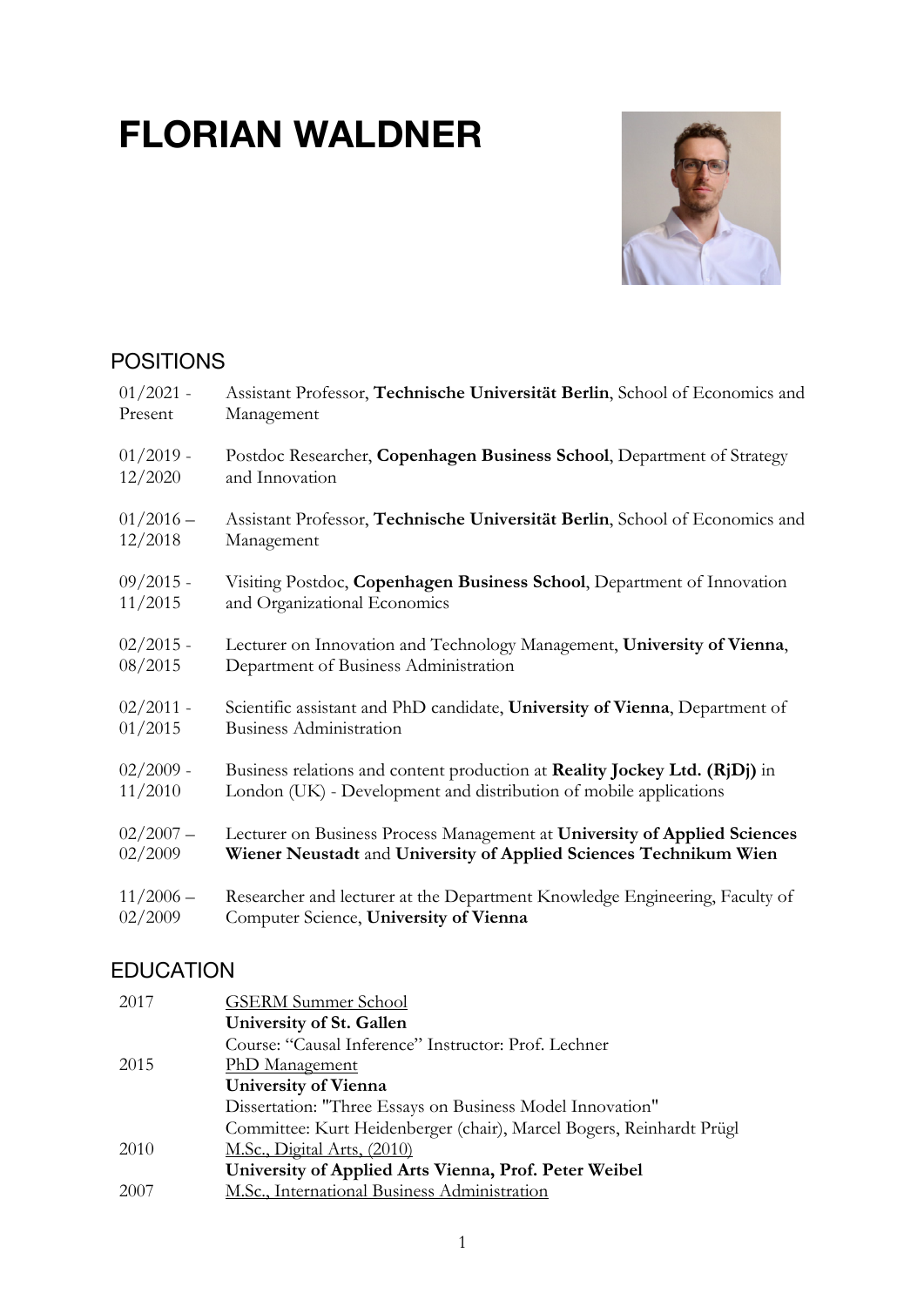# **FLORIAN WALDNER**



## POSITIONS

| $01/2021$ - | Assistant Professor, Technische Universität Berlin, School of Economics and |
|-------------|-----------------------------------------------------------------------------|
| Present     | Management                                                                  |
| $01/2019$ - | Postdoc Researcher, Copenhagen Business School, Department of Strategy      |
| 12/2020     | and Innovation                                                              |
| $01/2016-$  | Assistant Professor, Technische Universität Berlin, School of Economics and |
| 12/2018     | Management                                                                  |
| $09/2015$ - | Visiting Postdoc, Copenhagen Business School, Department of Innovation      |
| 11/2015     | and Organizational Economics                                                |
| $02/2015$ - | Lecturer on Innovation and Technology Management, University of Vienna,     |
| 08/2015     | Department of Business Administration                                       |
| $02/2011$ - | Scientific assistant and PhD candidate, University of Vienna, Department of |
| 01/2015     | <b>Business Administration</b>                                              |
| $02/2009$ - | Business relations and content production at Reality Jockey Ltd. (RjDj) in  |
| 11/2010     | London (UK) - Development and distribution of mobile applications           |
| $02/2007 -$ | Lecturer on Business Process Management at University of Applied Sciences   |
| 02/2009     | Wiener Neustadt and University of Applied Sciences Technikum Wien           |
| $11/2006 -$ | Researcher and lecturer at the Department Knowledge Engineering, Faculty of |
| 02/2009     | Computer Science, University of Vienna                                      |

## EDUCATION

| 2017 | <b>GSERM Summer School</b>                                           |
|------|----------------------------------------------------------------------|
|      | University of St. Gallen                                             |
|      | Course: "Causal Inference" Instructor: Prof. Lechner                 |
| 2015 | <b>PhD</b> Management                                                |
|      | <b>University of Vienna</b>                                          |
|      | Dissertation: "Three Essays on Business Model Innovation"            |
|      | Committee: Kurt Heidenberger (chair), Marcel Bogers, Reinhardt Prügl |
| 2010 | M.Sc., Digital Arts, (2010)                                          |
|      | University of Applied Arts Vienna, Prof. Peter Weibel                |
| 2007 | M.Sc., International Business Administration                         |